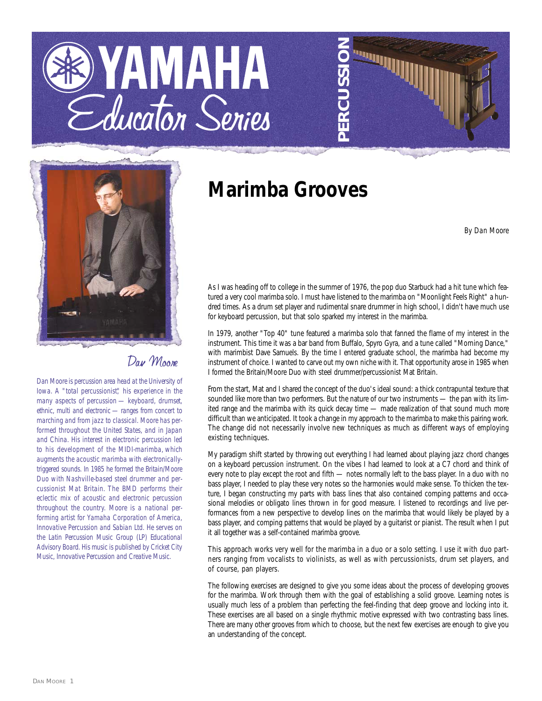## YAMAHA Educator Series



## Day Moone

*Dan Moore is percussion area head at the University of Iowa. A "total percussionist," his experience in the many aspects of percussion — keyboard, drumset, ethnic, multi and electronic — ranges from concert to marching and from jazz to classical. Moore has performed throughout the United States, and in Japan and China. His interest in electronic percussion led to his development of the MIDI-marimba, which augments the acoustic marimba with electronicallytriggered sounds. In 1985 he formed the Britain/Moore Duo with Nashville-based steel drummer and percussionist Mat Britain. The BMD performs their eclectic mix of acoustic and electronic percussion throughout the country. Moore is a national performing artist for Yamaha Corporation of America, Innovative Percussion and Sabian Ltd. He serves on the Latin Percussion Music Group (LP) Educational Advisory Board. His music is published by Cricket City Music, Innovative Percussion and Creative Music.*

## **Marimba Grooves**

*By Dan Moore*

As I was heading off to college in the summer of 1976, the pop duo Starbuck had a hit tune which featured a very cool marimba solo. I must have listened to the marimba on "Moonlight Feels Right" a hundred times. As a drum set player and rudimental snare drummer in high school, I didn't have much use for keyboard percussion, but that solo sparked my interest in the marimba.

**PERCUSSION**

In 1979, another "Top 40" tune featured a marimba solo that fanned the flame of my interest in the instrument. This time it was a bar band from Buffalo, Spyro Gyra, and a tune called "Morning Dance," with marimbist Dave Samuels. By the time I entered graduate school, the marimba had become my instrument of choice. I wanted to carve out my own niche with it. That opportunity arose in 1985 when I formed the Britain/Moore Duo with steel drummer/percussionist Mat Britain.

From the start, Mat and I shared the concept of the duo's ideal sound: a thick contrapuntal texture that sounded like more than two performers. But the nature of our two instruments - the pan with its limited range and the marimba with its quick decay time — made realization of that sound much more difficult than we anticipated. It took a change in my approach to the marimba to make this pairing work. The change did not necessarily involve new techniques as much as different ways of employing existing techniques.

My paradigm shift started by throwing out everything I had learned about playing jazz chord changes on a keyboard percussion instrument. On the vibes I had learned to look at a C7 chord and think of every note to play except the root and fifth — notes normally left to the bass player. In a duo with no bass player, I needed to play these very notes so the harmonies would make sense. To thicken the texture, I began constructing my parts with bass lines that also contained comping patterns and occasional melodies or obligato lines thrown in for good measure. I listened to recordings and live performances from a new perspective to develop lines on the marimba that would likely be played by a bass player, and comping patterns that would be played by a guitarist or pianist. The result when I put it all together was a self-contained marimba groove.

This approach works very well for the marimba in a duo or a solo setting. I use it with duo partners ranging from vocalists to violinists, as well as with percussionists, drum set players, and of course, pan players.

The following exercises are designed to give you some ideas about the process of developing grooves for the marimba. Work through them with the goal of establishing a solid groove. Learning notes is usually much less of a problem than perfecting the feel-finding that deep groove and locking into it. These exercises are all based on a single rhythmic motive expressed with two contrasting bass lines. There are many other grooves from which to choose, but the next few exercises are enough to give you an understanding of the concept.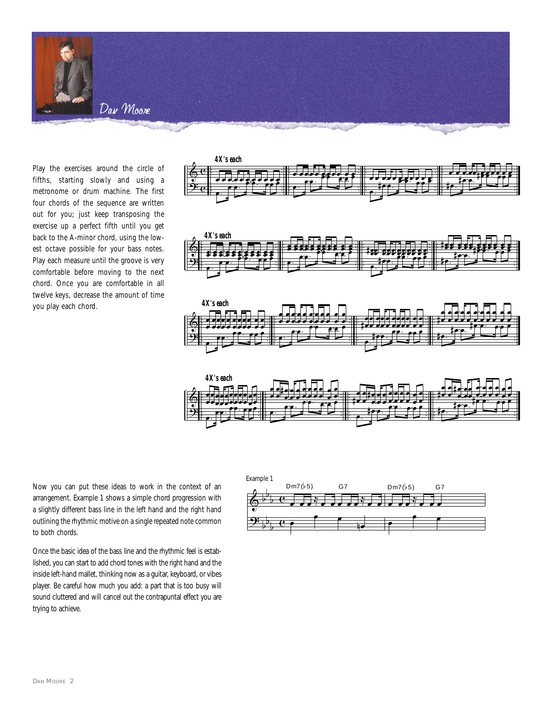

Play the exercises around the circle of fifths, starting slowly and using a metronome or drum machine. The first four chords of the sequence are written out for you; just keep transposing the exercise up a perfect fifth until you get back to the A-minor chord, using the lowest octave possible for your bass notes. Play each measure until the groove is very comfortable before moving to the next chord. Once you are comfortable in all twelve keys, decrease the amount of time you play each chord.



Now you can put these ideas to work in the context of an arrangement. Example 1 shows a simple chord progression with a slightly different bass line in the left hand and the right hand outlining the rhythmic motive on a single repeated note common to both chords.

Once the basic idea of the bass line and the rhythmic feel is established, you can start to add chord tones with the right hand and the inside left-hand mallet, thinking now as a guitar, keyboard, or vibes player. Be careful how much you add: a part that is too busy will sound cluttered and will cancel out the contrapuntal effect you are trying to achieve.